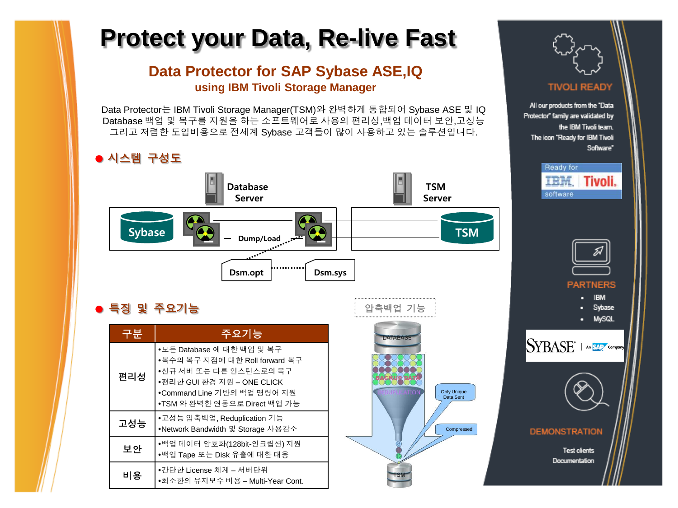# **Protect your Data, Re-live Fast**

# **Data Protector for SAP Sybase ASE,IQ using IBM Tivoli Storage Manager**

Data Protector는 IBM Tivoli Storage Manager(TSM)와 완벽하게 통합되어 Sybase ASE 및 IQ Database 백업 및 복구를 지원을 하는 소프트웨어로 사용의 편리성,백업 데이터 보안,고성능 그리고 저렴한 도입비용으로 전세계 Sybase 고객들이 많이 사용하고 있는 솔루션입니다.

# ● 시스템 구성도



# 특징 및 주요기능

| 구분  | 주요기능                                                                                                                                                                              |  |
|-----|-----------------------------------------------------------------------------------------------------------------------------------------------------------------------------------|--|
| 편리성 | ∙모든 Database 에 대한 백업 및 복구<br>∙복수의 복구 지점에 대한 Roll forward 복구<br>•신규서버 또는 다른 인스턴스로의 복구<br>∙편리한 GUI 환경 지원 – ONE CLICK<br>•Command Line 기반의 백업 명령어 지원<br>•TSM 와 완벽한 연동으로 Direct 백업 가능 |  |
| 고성능 | ∙고성능 압축백업, Reduplication 기능<br>•Network Bandwidth 및 Storage 사용감소                                                                                                                  |  |
| 보안  | ●백업 데이터 암호화(128bit-인크립션) 지원<br>∙백업 Tape 또는 Disk 유출에 대한 대응                                                                                                                         |  |
| 비용  | ∙간단한 License 체계 – 서버단위<br>•최소한의 유지보수 비용 – Multi-Year Cont.                                                                                                                        |  |